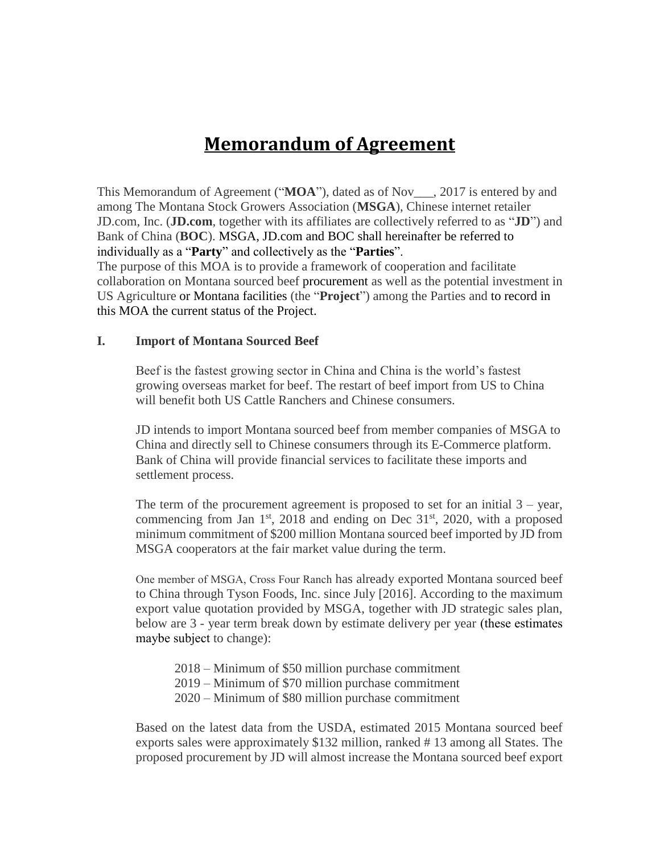# **Memorandum of Agreement**

This Memorandum of Agreement ("**MOA**"), dated as of Nov\_\_\_, 2017 is entered by and among The Montana Stock Growers Association (**MSGA**), Chinese internet retailer JD.com, Inc. (**JD.com**, together with its affiliates are collectively referred to as "**JD**") and Bank of China (**BOC**). MSGA, JD.com and BOC shall hereinafter be referred to individually as a "**Party**" and collectively as the "**Parties**".

The purpose of this MOA is to provide a framework of cooperation and facilitate collaboration on Montana sourced beef procurement as well as the potential investment in US Agriculture or Montana facilities (the "**Project**") among the Parties and to record in this MOA the current status of the Project.

#### **I. Import of Montana Sourced Beef**

Beef is the fastest growing sector in China and China is the world's fastest growing overseas market for beef. The restart of beef import from US to China will benefit both US Cattle Ranchers and Chinese consumers.

JD intends to import Montana sourced beef from member companies of MSGA to China and directly sell to Chinese consumers through its E-Commerce platform. Bank of China will provide financial services to facilitate these imports and settlement process.

The term of the procurement agreement is proposed to set for an initial  $3 - \text{year}$ , commencing from Jan  $1<sup>st</sup>$ , 2018 and ending on Dec  $31<sup>st</sup>$ , 2020, with a proposed minimum commitment of \$200 million Montana sourced beef imported by JD from MSGA cooperators at the fair market value during the term.

One member of MSGA, Cross Four Ranch has already exported Montana sourced beef to China through Tyson Foods, Inc. since July [2016]. According to the maximum export value quotation provided by MSGA, together with JD strategic sales plan, below are 3 - year term break down by estimate delivery per year (these estimates maybe subject to change):

2018 – Minimum of \$50 million purchase commitment 2019 – Minimum of \$70 million purchase commitment 2020 – Minimum of \$80 million purchase commitment

Based on the latest data from the USDA, estimated 2015 Montana sourced beef exports sales were approximately \$132 million, ranked # 13 among all States. The proposed procurement by JD will almost increase the Montana sourced beef export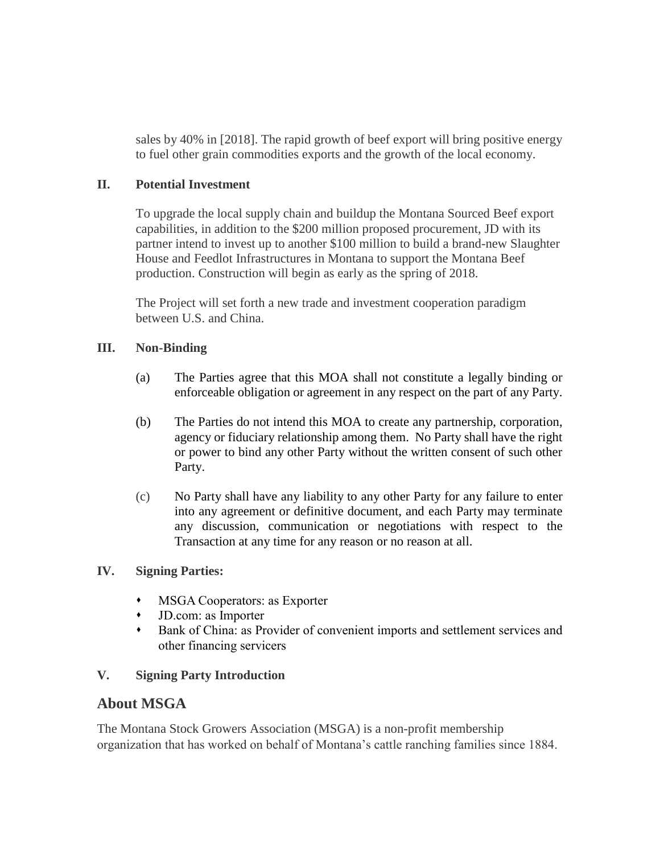sales by 40% in [2018]. The rapid growth of beef export will bring positive energy to fuel other grain commodities exports and the growth of the local economy.

## **II. Potential Investment**

To upgrade the local supply chain and buildup the Montana Sourced Beef export capabilities, in addition to the \$200 million proposed procurement, JD with its partner intend to invest up to another \$100 million to build a brand-new Slaughter House and Feedlot Infrastructures in Montana to support the Montana Beef production. Construction will begin as early as the spring of 2018.

The Project will set forth a new trade and investment cooperation paradigm between U.S. and China.

## **III. Non-Binding**

- (a) The Parties agree that this MOA shall not constitute a legally binding or enforceable obligation or agreement in any respect on the part of any Party.
- (b) The Parties do not intend this MOA to create any partnership, corporation, agency or fiduciary relationship among them. No Party shall have the right or power to bind any other Party without the written consent of such other Party.
- (c) No Party shall have any liability to any other Party for any failure to enter into any agreement or definitive document, and each Party may terminate any discussion, communication or negotiations with respect to the Transaction at any time for any reason or no reason at all.

#### **IV. Signing Parties:**

- MSGA Cooperators: as Exporter
- JD.com: as Importer
- Bank of China: as Provider of convenient imports and settlement services and other financing servicers

#### **V. Signing Party Introduction**

## **About MSGA**

The Montana Stock Growers Association (MSGA) is a non-profit membership organization that has worked on behalf of Montana's cattle ranching families since 1884.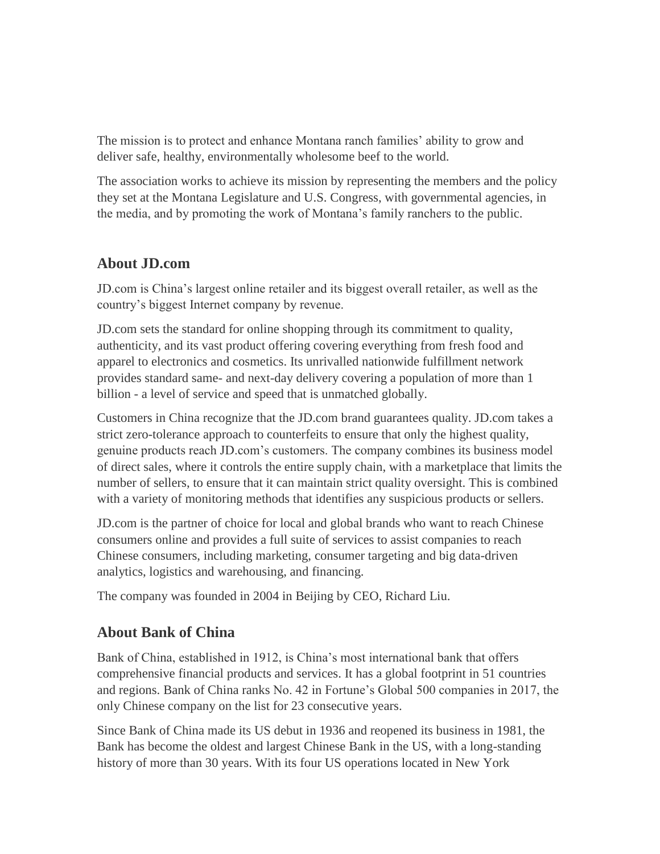The mission is to protect and enhance Montana ranch families' ability to grow and deliver safe, healthy, environmentally wholesome beef to the world.

The association works to achieve its mission by representing the members and the policy they set at the Montana Legislature and U.S. Congress, with governmental agencies, in the media, and by promoting the work of Montana's family ranchers to the public.

# **About JD.com**

JD.com is China's largest online retailer and its biggest overall retailer, as well as the country's biggest Internet company by revenue.

JD.com sets the standard for online shopping through its commitment to quality, authenticity, and its vast product offering covering everything from fresh food and apparel to electronics and cosmetics. Its unrivalled nationwide fulfillment network provides standard same- and next-day delivery covering a population of more than 1 billion - a level of service and speed that is unmatched globally.

Customers in China recognize that the JD.com brand guarantees quality. JD.com takes a strict zero-tolerance approach to counterfeits to ensure that only the highest quality, genuine products reach JD.com's customers. The company combines its business model of direct sales, where it controls the entire supply chain, with a marketplace that limits the number of sellers, to ensure that it can maintain strict quality oversight. This is combined with a variety of monitoring methods that identifies any suspicious products or sellers.

JD.com is the partner of choice for local and global brands who want to reach Chinese consumers online and provides a full suite of services to assist companies to reach Chinese consumers, including marketing, consumer targeting and big data-driven analytics, logistics and warehousing, and financing.

The company was founded in 2004 in Beijing by CEO, Richard Liu.

# **About Bank of China**

Bank of China, established in 1912, is China's most international bank that offers comprehensive financial products and services. It has a global footprint in 51 countries and regions. Bank of China ranks No. 42 in Fortune's Global 500 companies in 2017, the only Chinese company on the list for 23 consecutive years.

Since Bank of China made its US debut in 1936 and reopened its business in 1981, the Bank has become the oldest and largest Chinese Bank in the US, with a long-standing history of more than 30 years. With its four US operations located in New York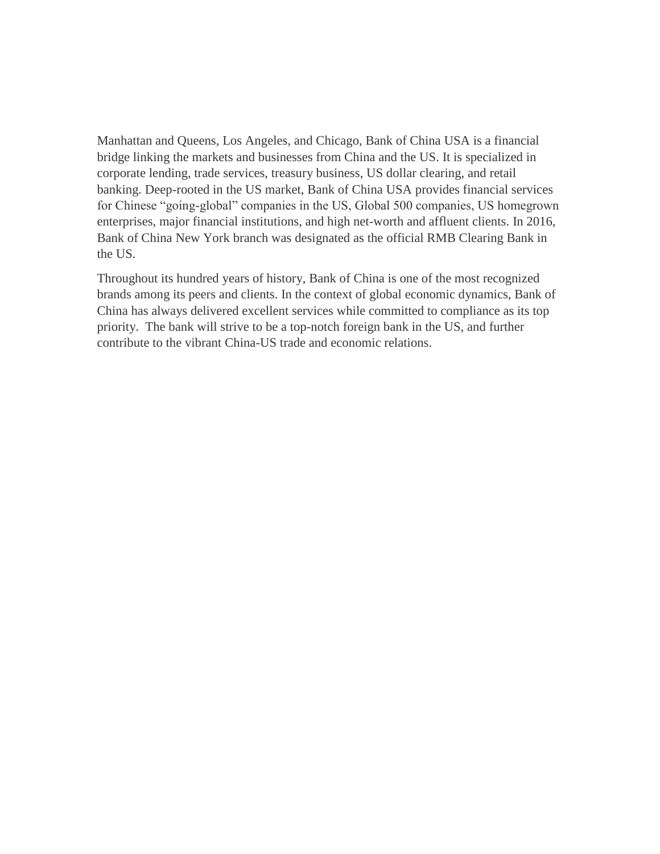Manhattan and Queens, Los Angeles, and Chicago, Bank of China USA is a financial bridge linking the markets and businesses from China and the US. It is specialized in corporate lending, trade services, treasury business, US dollar clearing, and retail banking. Deep-rooted in the US market, Bank of China USA provides financial services for Chinese "going-global" companies in the US, Global 500 companies, US homegrown enterprises, major financial institutions, and high net-worth and affluent clients. In 2016, Bank of China New York branch was designated as the official RMB Clearing Bank in the US.

Throughout its hundred years of history, Bank of China is one of the most recognized brands among its peers and clients. In the context of global economic dynamics, Bank of China has always delivered excellent services while committed to compliance as its top priority. The bank will strive to be a top-notch foreign bank in the US, and further contribute to the vibrant China-US trade and economic relations.